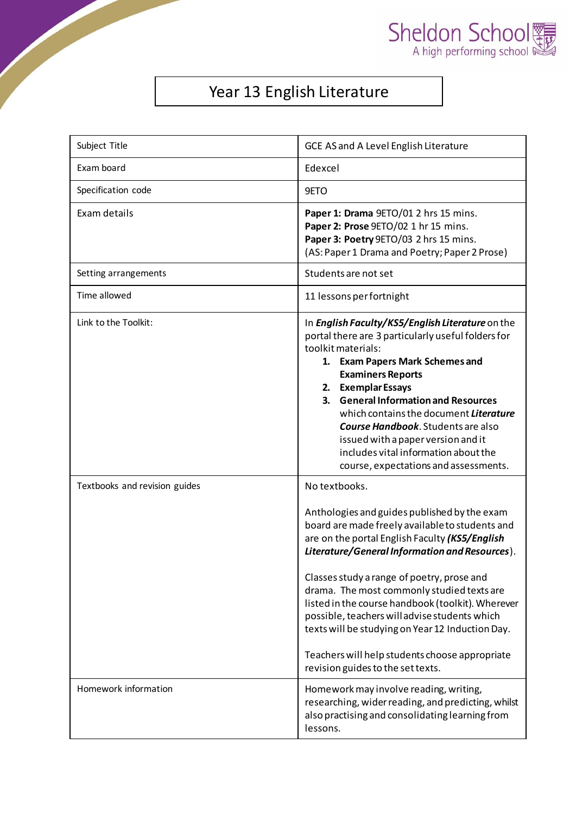



## Year 13 English Literature

| Subject Title                 | GCE AS and A Level English Literature                                                                                                                                                                                                                                                                                                                                                                                                                                                                                                                             |  |
|-------------------------------|-------------------------------------------------------------------------------------------------------------------------------------------------------------------------------------------------------------------------------------------------------------------------------------------------------------------------------------------------------------------------------------------------------------------------------------------------------------------------------------------------------------------------------------------------------------------|--|
| Exam board                    | Edexcel                                                                                                                                                                                                                                                                                                                                                                                                                                                                                                                                                           |  |
| Specification code            | 9ETO                                                                                                                                                                                                                                                                                                                                                                                                                                                                                                                                                              |  |
| Exam details                  | Paper 1: Drama 9ETO/01 2 hrs 15 mins.<br>Paper 2: Prose 9ETO/02 1 hr 15 mins.<br>Paper 3: Poetry 9ETO/03 2 hrs 15 mins.<br>(AS: Paper 1 Drama and Poetry; Paper 2 Prose)                                                                                                                                                                                                                                                                                                                                                                                          |  |
| Setting arrangements          | Students are not set                                                                                                                                                                                                                                                                                                                                                                                                                                                                                                                                              |  |
| Time allowed                  | 11 lessons per fortnight                                                                                                                                                                                                                                                                                                                                                                                                                                                                                                                                          |  |
| Link to the Toolkit:          | In English Faculty/KS5/English Literature on the<br>portal there are 3 particularly useful folders for<br>toolkit materials:<br>1. Exam Papers Mark Schemes and<br><b>Examiners Reports</b><br>2. Exemplar Essays<br>3. General Information and Resources<br>which contains the document Literature<br><b>Course Handbook.</b> Students are also<br>issued with a paper version and it<br>includes vital information about the<br>course, expectations and assessments.                                                                                           |  |
| Textbooks and revision guides | No textbooks.<br>Anthologies and guides published by the exam<br>board are made freely available to students and<br>are on the portal English Faculty (KS5/English<br>Literature/General Information and Resources).<br>Classes study a range of poetry, prose and<br>drama. The most commonly studied texts are<br>listed in the course handbook (toolkit). Wherever<br>possible, teachers will advise students which<br>texts will be studying on Year 12 Induction Day.<br>Teachers will help students choose appropriate<br>revision guides to the set texts. |  |
| Homework information          | Homework may involve reading, writing,<br>researching, wider reading, and predicting, whilst<br>also practising and consolidating learning from<br>lessons.                                                                                                                                                                                                                                                                                                                                                                                                       |  |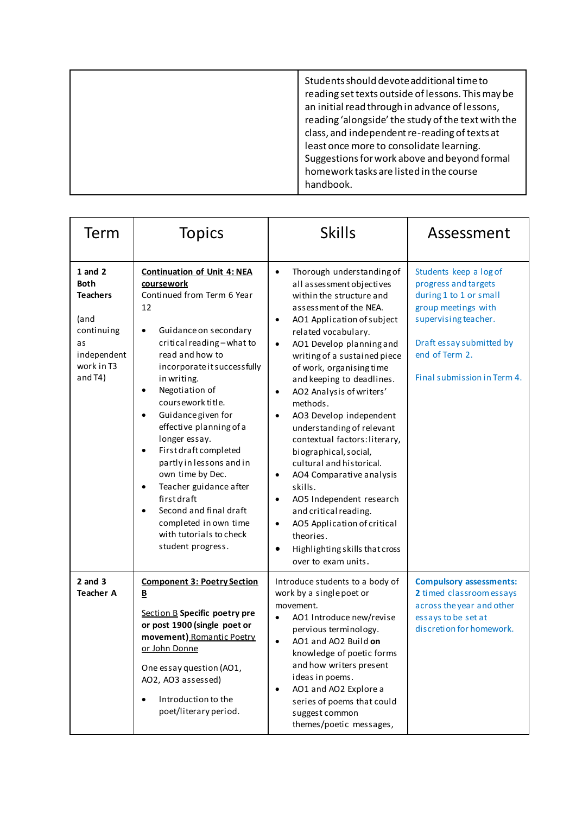|  | Students should devote additional time to<br>reading set texts outside of lessons. This may be<br>an initial read through in advance of lessons,<br>reading 'alongside' the study of the text with the<br>class, and independent re-reading of texts at<br>least once more to consolidate learning.<br>Suggestions for work above and beyond formal<br>homework tasks are listed in the course<br>handbook. |
|--|-------------------------------------------------------------------------------------------------------------------------------------------------------------------------------------------------------------------------------------------------------------------------------------------------------------------------------------------------------------------------------------------------------------|
|--|-------------------------------------------------------------------------------------------------------------------------------------------------------------------------------------------------------------------------------------------------------------------------------------------------------------------------------------------------------------------------------------------------------------|

| Term                                                                                                                | <b>Topics</b>                                                                                                                                                                                                                                                                                                                                                                                                                                                                                                                                                                                                         | <b>Skills</b>                                                                                                                                                                                                                                                                                                                                                                                                                                                                                                                                                                                                                                                                                                                                                                         | Assessment                                                                                                                                                                                           |
|---------------------------------------------------------------------------------------------------------------------|-----------------------------------------------------------------------------------------------------------------------------------------------------------------------------------------------------------------------------------------------------------------------------------------------------------------------------------------------------------------------------------------------------------------------------------------------------------------------------------------------------------------------------------------------------------------------------------------------------------------------|---------------------------------------------------------------------------------------------------------------------------------------------------------------------------------------------------------------------------------------------------------------------------------------------------------------------------------------------------------------------------------------------------------------------------------------------------------------------------------------------------------------------------------------------------------------------------------------------------------------------------------------------------------------------------------------------------------------------------------------------------------------------------------------|------------------------------------------------------------------------------------------------------------------------------------------------------------------------------------------------------|
| $1$ and $2$<br><b>Both</b><br><b>Teachers</b><br>(and<br>continuing<br>as<br>independent<br>work in T3<br>and $T4)$ | <b>Continuation of Unit 4: NEA</b><br>coursework<br>Continued from Term 6 Year<br>12<br>Guidance on secondary<br>$\bullet$<br>critical reading-what to<br>read and how to<br>incorporate it successfully<br>in writing.<br>Negotiation of<br>$\bullet$<br>coursework title.<br>Guidance given for<br>$\bullet$<br>effective planning of a<br>longer essay.<br>First draft completed<br>$\bullet$<br>partly in lessons and in<br>own time by Dec.<br>Teacher guidance after<br>$\bullet$<br>firstdraft<br>Second and final draft<br>$\bullet$<br>completed in own time<br>with tutorials to check<br>student progress. | Thorough understanding of<br>$\bullet$<br>all assessment objectives<br>within the structure and<br>assessment of the NEA.<br>AO1 Application of subject<br>related vocabulary.<br>AO1 Develop planning and<br>$\bullet$<br>writing of a sustained piece<br>of work, organising time<br>and keeping to deadlines.<br>AO2 Analysis of writers'<br>$\bullet$<br>methods.<br>AO3 Develop independent<br>$\bullet$<br>understanding of relevant<br>contextual factors: literary,<br>biographical, social,<br>cultural and historical.<br>AO4 Comparative analysis<br>$\bullet$<br>skills.<br>AO5 Independent research<br>$\bullet$<br>and critical reading.<br>AO5 Application of critical<br>$\bullet$<br>theories.<br>Highlighting skills that cross<br>$\bullet$<br>over to exam units. | Students keep a log of<br>progress and targets<br>during 1 to 1 or small<br>group meetings with<br>supervising teacher.<br>Draft essay submitted by<br>end of Term 2.<br>Final submission in Term 4. |
| $2$ and $3$<br><b>Teacher A</b>                                                                                     | <b>Component 3: Poetry Section</b><br>$\overline{\mathbf{B}}$<br>Section B Specific poetry pre<br>or post 1900 (single poet or<br>movement) Romantic Poetry<br>or John Donne<br>One essay question (AO1,<br>AO2, AO3 assessed)<br>Introduction to the<br>$\bullet$<br>poet/literary period.                                                                                                                                                                                                                                                                                                                           | Introduce students to a body of<br>work by a single poet or<br>movement.<br>AO1 Introduce new/revise<br>pervious terminology.<br>AO1 and AO2 Build on<br>$\bullet$<br>knowledge of poetic forms<br>and how writers present<br>ideas in poems.<br>AO1 and AO2 Explore a<br>series of poems that could<br>suggest common<br>themes/poetic messages,                                                                                                                                                                                                                                                                                                                                                                                                                                     | <b>Compulsory assessments:</b><br>2 timed classroom essays<br>across the year and other<br>essays to be set at<br>discretion for homework.                                                           |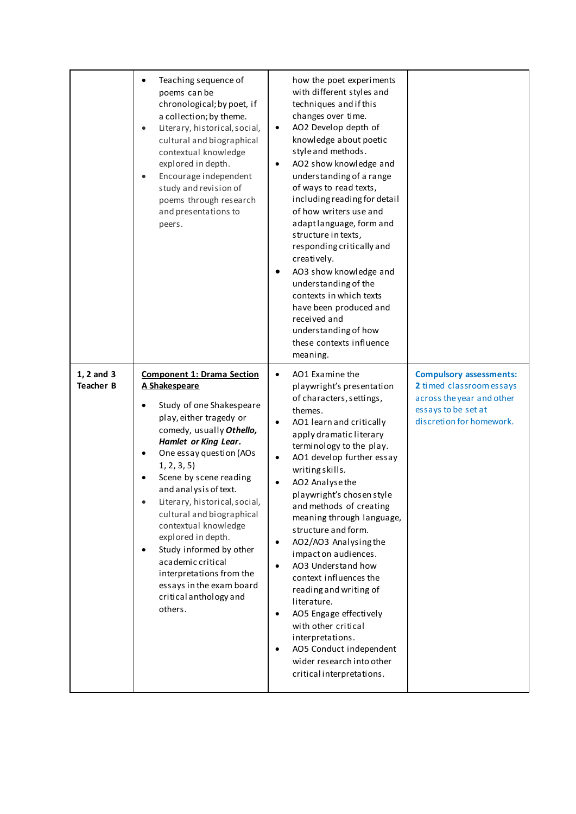|                                | Teaching sequence of<br>$\bullet$<br>poems can be<br>chronological; by poet, if<br>a collection; by theme.<br>Literary, historical, social,<br>$\bullet$<br>cultural and biographical<br>contextual knowledge<br>explored in depth.<br>Encourage independent<br>$\bullet$<br>study and revision of<br>poems through research<br>and presentations to<br>peers.                                                                                                                                                                                | how the poet experiments<br>with different styles and<br>techniques and if this<br>changes over time.<br>AO2 Develop depth of<br>knowledge about poetic<br>style and methods.<br>AO2 show knowledge and<br>understanding of a range<br>of ways to read texts,<br>including reading for detail<br>of how writers use and<br>adaptlanguage, form and<br>structure in texts,<br>responding critically and<br>creatively.<br>AO3 show knowledge and<br>understanding of the<br>contexts in which texts<br>have been produced and<br>received and<br>understanding of how<br>these contexts influence<br>meaning.                                                                                                 |                                                                                                                                            |
|--------------------------------|-----------------------------------------------------------------------------------------------------------------------------------------------------------------------------------------------------------------------------------------------------------------------------------------------------------------------------------------------------------------------------------------------------------------------------------------------------------------------------------------------------------------------------------------------|--------------------------------------------------------------------------------------------------------------------------------------------------------------------------------------------------------------------------------------------------------------------------------------------------------------------------------------------------------------------------------------------------------------------------------------------------------------------------------------------------------------------------------------------------------------------------------------------------------------------------------------------------------------------------------------------------------------|--------------------------------------------------------------------------------------------------------------------------------------------|
| 1, 2 and 3<br><b>Teacher B</b> | <b>Component 1: Drama Section</b><br>A Shakespeare<br>Study of one Shakespeare<br>$\bullet$<br>play, either tragedy or<br>comedy, usually Othello,<br>Hamlet or King Lear.<br>One essay question (AOs<br>1, 2, 3, 5)<br>Scene by scene reading<br>and analysis of text.<br>Literary, historical, social,<br>cultural and biographical<br>contextual knowledge<br>explored in depth.<br>Study informed by other<br>$\bullet$<br>academic critical<br>interpretations from the<br>essays in the exam board<br>critical anthology and<br>others. | AO1 Examine the<br>$\bullet$<br>playwright's presentation<br>of characters, settings,<br>themes.<br>AO1 learn and critically<br>apply dramatic literary<br>terminology to the play.<br>AO1 develop further essay<br>writing skills.<br>AO2 Analysethe<br>playwright's chosen style<br>and methods of creating<br>meaning through language,<br>structure and form.<br>AO2/AO3 Analysing the<br>$\bullet$<br>impact on audiences.<br>AO3 Understand how<br>$\bullet$<br>context influences the<br>reading and writing of<br>literature.<br>AO5 Engage effectively<br>$\bullet$<br>with other critical<br>interpretations.<br>AO5 Conduct independent<br>wider research into other<br>critical interpretations. | <b>Compulsory assessments:</b><br>2 timed classroom essays<br>across the year and other<br>essays to be set at<br>discretion for homework. |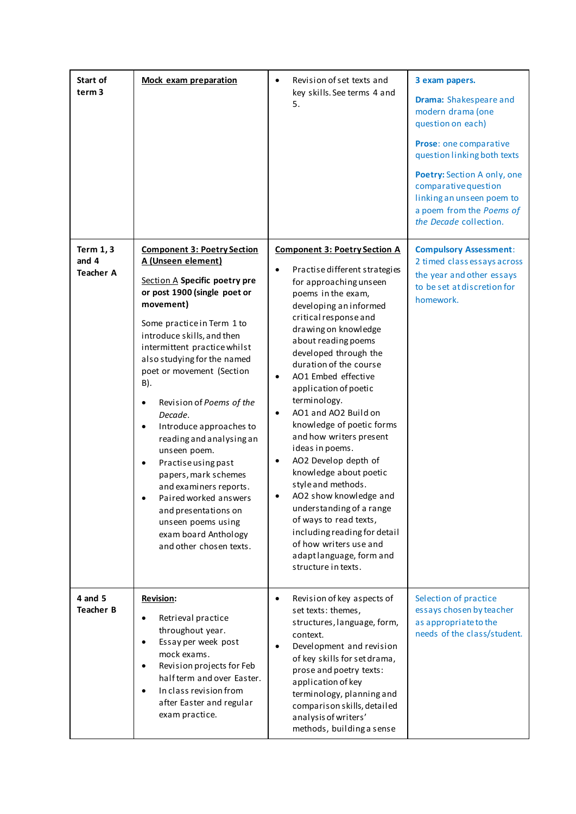| Start of<br>term <sub>3</sub>                 | <b>Mock exam preparation</b>                                                                                                                                                                                                                                                                                                                                                                                                                                                                                                                                                                                                                     | Revision of set texts and<br>key skills. See terms 4 and<br>5.                                                                                                                                                                                                                                                                                                                                                                                                                                                                                                                                                                                                                                                                                                        | 3 exam papers.<br>Drama: Shakespeare and<br>modern drama (one<br>question on each)<br>Prose: one comparative<br>question linking both texts<br>Poetry: Section A only, one<br>comparative question<br>linking an unseen poem to<br>a poem from the Poems of<br>the Decade collection. |
|-----------------------------------------------|--------------------------------------------------------------------------------------------------------------------------------------------------------------------------------------------------------------------------------------------------------------------------------------------------------------------------------------------------------------------------------------------------------------------------------------------------------------------------------------------------------------------------------------------------------------------------------------------------------------------------------------------------|-----------------------------------------------------------------------------------------------------------------------------------------------------------------------------------------------------------------------------------------------------------------------------------------------------------------------------------------------------------------------------------------------------------------------------------------------------------------------------------------------------------------------------------------------------------------------------------------------------------------------------------------------------------------------------------------------------------------------------------------------------------------------|---------------------------------------------------------------------------------------------------------------------------------------------------------------------------------------------------------------------------------------------------------------------------------------|
| <b>Term 1, 3</b><br>and 4<br><b>Teacher A</b> | <b>Component 3: Poetry Section</b><br>A (Unseen element)<br>Section A Specific poetry pre<br>or post 1900 (single poet or<br>movement)<br>Some practice in Term 1 to<br>introduce skills, and then<br>intermittent practice whilst<br>also studying for the named<br>poet or movement (Section<br>B).<br>Revision of Poems of the<br>$\bullet$<br>Decade.<br>Introduce approaches to<br>$\bullet$<br>reading and analysing an<br>unseen poem.<br>Practise using past<br>papers, mark schemes<br>and examiners reports.<br>Paired worked answers<br>and presentations on<br>unseen poems using<br>exam board Anthology<br>and other chosen texts. | <b>Component 3: Poetry Section A</b><br>Practise different strategies<br>$\bullet$<br>for approaching unseen<br>poems in the exam,<br>developing an informed<br>critical response and<br>drawing on knowledge<br>about reading poems<br>developed through the<br>duration of the course<br>AO1 Embed effective<br>$\bullet$<br>application of poetic<br>terminology.<br>AO1 and AO2 Build on<br>$\bullet$<br>knowledge of poetic forms<br>and how writers present<br>ideas in poems.<br>AO2 Develop depth of<br>$\bullet$<br>knowledge about poetic<br>style and methods.<br>AO2 show knowledge and<br>understanding of a range<br>of ways to read texts,<br>including reading for detail<br>of how writers use and<br>adaptlanguage, form and<br>structure in texts. | <b>Compulsory Assessment:</b><br>2 timed class essays across<br>the year and other essays<br>to be set at discretion for<br>homework.                                                                                                                                                 |
| 4 and 5<br><b>Teacher B</b>                   | <b>Revision:</b><br>Retrieval practice<br>$\bullet$<br>throughout year.<br>Essay per week post<br>$\bullet$<br>mock exams.<br>Revision projects for Feb<br>$\bullet$<br>half term and over Easter.<br>In class revision from<br>$\bullet$<br>after Easter and regular<br>exam practice.                                                                                                                                                                                                                                                                                                                                                          | Revision of key aspects of<br>$\bullet$<br>set texts: themes,<br>structures, language, form,<br>context.<br>Development and revision<br>$\bullet$<br>of key skills for set drama,<br>prose and poetry texts:<br>application of key<br>terminology, planning and<br>comparison skills, detailed<br>analysis of writers'<br>methods, building a sense                                                                                                                                                                                                                                                                                                                                                                                                                   | Selection of practice<br>essays chosen by teacher<br>as appropriate to the<br>needs of the class/student.                                                                                                                                                                             |